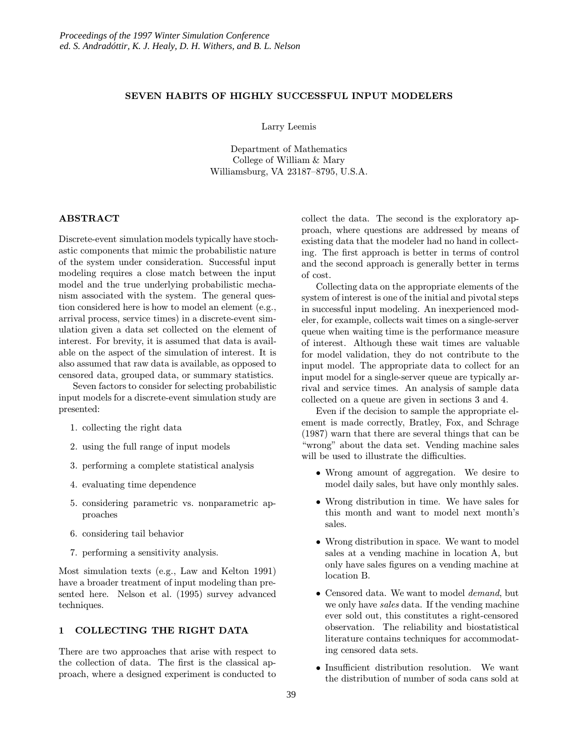## SEVEN HABITS OF HIGHLY SUCCESSFUL INPUT MODELERS

Larry Leemis

Department of Mathematics College of William & Mary Williamsburg, VA 23187–8795, U.S.A.

## ABSTRACT

Discrete-event simulationmodels typically have stochastic components that mimic the probabilistic nature of the system under consideration. Successful input modeling requires a close match between the input model and the true underlying probabilistic mechanism associated with the system. The general question considered here is how to model an element (e.g., arrival process, service times) in a discrete-event simulation given a data set collected on the element of interest. For brevity, it is assumed that data is available on the aspect of the simulation of interest. It is also assumed that raw data is available, as opposed to censored data, grouped data, or summary statistics.

Seven factors to consider for selecting probabilistic input models for a discrete-event simulation study are presented:

- 1. collecting the right data
- 2. using the full range of input models
- 3. performing a complete statistical analysis
- 4. evaluating time dependence
- 5. considering parametric vs. nonparametric approaches
- 6. considering tail behavior
- 7. performing a sensitivity analysis.

Most simulation texts (e.g., Law and Kelton 1991) have a broader treatment of input modeling than presented here. Nelson et al. (1995) survey advanced techniques.

# 1 COLLECTING THE RIGHT DATA

There are two approaches that arise with respect to the collection of data. The first is the classical approach, where a designed experiment is conducted to

collect the data. The second is the exploratory approach, where questions are addressed by means of existing data that the modeler had no hand in collecting. The first approach is better in terms of control and the second approach is generally better in terms of cost.

Collecting data on the appropriate elements of the system of interest is one of the initial and pivotal steps in successful input modeling. An inexperienced modeler, for example, collects wait times on a single-server queue when waiting time is the performance measure of interest. Although these wait times are valuable for model validation, they do not contribute to the input model. The appropriate data to collect for an input model for a single-server queue are typically arrival and service times. An analysis of sample data collected on a queue are given in sections 3 and 4.

Even if the decision to sample the appropriate element is made correctly, Bratley, Fox, and Schrage (1987) warn that there are several things that can be "wrong" about the data set. Vending machine sales will be used to illustrate the difficulties.

- Wrong amount of aggregation. We desire to model daily sales, but have only monthly sales.
- Wrong distribution in time. We have sales for this month and want to model next month's sales.
- Wrong distribution in space. We want to model sales at a vending machine in location A, but only have sales figures on a vending machine at location B.
- Censored data. We want to model demand, but we only have sales data. If the vending machine ever sold out, this constitutes a right-censored observation. The reliability and biostatistical literature contains techniques for accommodating censored data sets.
- Insufficient distribution resolution. We want the distribution of number of soda cans sold at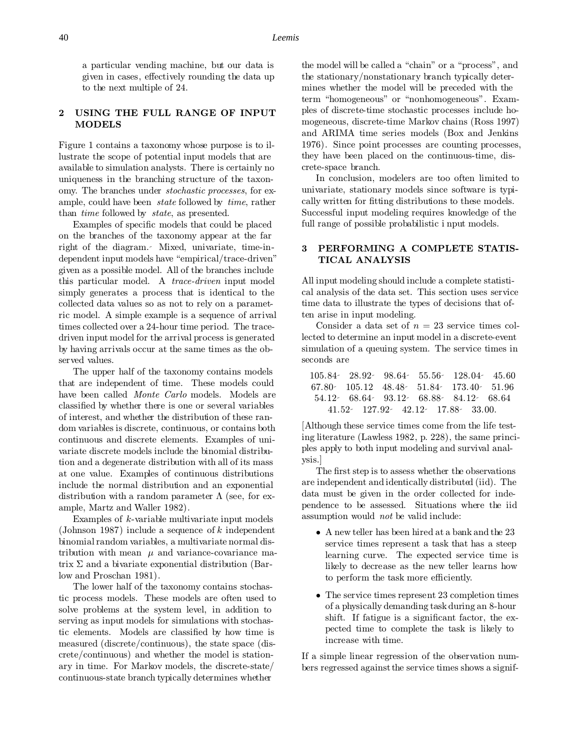a particular vending machine, but our data is given in cases, effectively rounding the data up to the next multiple of 24.

# 2 USING THE FULL RANGE OF INPUT MODELS

Figure 1 contains a taxonomy whose purpose is to illustrate the scope of potential input models that are available to simulation analysts. There is certainly no uniqueness in the branching structure of the taxonomy. The branches under stochastic processes, for example, could have been state followed by time, rather than time followed by state, as presented.

Examples of specific models that could be placed on the branches of the taxonomy appear at the far right of the diagram. Mixed, univariate, time-independent input models have "empirical/trace-driven" given as a possible model. All of the branches include this particular model. A trace-driven input model simply generates a process that is identical to the collected data values so as not to rely on a parametric model. A simple example is a sequence of arrival times collected over a 24-hour time period. The tracedriven input model for the arrival process is generated by having arrivals occur at the same times as the observed values.

The upper half of the taxonomy contains models that are independent of time. These models could have been called *Monte Carlo* models. Models are classified by whether there is one or several variables of interest, and whether the distribution of these random variables is discrete, continuous, or contains both continuous and discrete elements. Examples of univariate discrete models include the binomial distribution and a degenerate distribution with all of its mass at one value. Examples of continuous distributions include the normal distribution and an exponential distribution with a random parameter  $\Lambda$  (see, for example, Martz and Waller 1982).

Examples of  $k$ -variable multivariate input models (Johnson 1987) include a sequence of  $k$  independent binomial random variables, a multivariate normal distribution with mean  $\mu$  and variance-covariance matrix  $\Sigma$  and a bivariate exponential distribution (Barlow and Proschan 1981).

The lower half of the taxonomy contains stochastic process models. These models are often used to solve problems at the system level, in addition to serving as input models for simulations with stochastic elements. Models are classified by how time is measured (discrete/continuous), the state space (discrete/continuous) and whether the model is stationary in time. For Markov models, the discrete-state/ continuous-state branch typically determines whether

the model will be called a "chain" or a "process", and the stationary/nonstationary branch typically determines whether the model will be preceded with the term "homogeneous" or "nonhomogeneous". Examples of discrete-time stochastic processes include homogeneous, discrete-time Markov chains (Ross 1997) and ARIMA time series models (Box and Jenkins 1976). Since point processes are counting processes, they have been placed on the continuous-time, discrete-space branch.

In conclusion, modelers are too often limited to univariate, stationary models since software is typically written for fitting distributions to these models. Successful input modeling requires knowledge of the full range of possible probabilistic i nput models.

### 3 PERFORMING A COMPLETE STATIS-TICAL ANALYSIS

All input modeling should include a complete statistical analysis of the data set. This section uses service time data to illustrate the types of decisions that often arise in input modeling.

Consider a data set of  $n = 23$  service times collected to determine an input model in a discrete-event simulation of a queuing system. The service times in seconds are

|  |  | $105.84$ $28.92$ $98.64$ $55.56$ $128.04$ $45.60$                   |  |
|--|--|---------------------------------------------------------------------|--|
|  |  | $67.80\cdot 105.12$ $48.48\cdot 51.84\cdot 173.40\cdot 51.96$       |  |
|  |  | $54.12 \cdot 68.64 \cdot 93.12 \cdot 68.88 \cdot 84.12 \cdot 68.64$ |  |
|  |  | $41.52 \cdot 127.92 \cdot 42.12 \cdot 17.88 \cdot 33.00$            |  |

[Although these service times come from the life testing literature (Lawless 1982, p. 228), the same principles apply to both input modeling and survival analysis.]

The first step is to assess whether the observations are independent and identically distributed (iid). The data must be given in the order collected for independence to be assessed. Situations where the iid assumption would not be valid include:

- A new teller has been hired at a bank and the 23 service times represent a task that has a steep learning curve. The expected service time is likely to decrease as the new teller learns how to perform the task more efficiently.
- The service times represent 23 completion times of a physically demanding task during an 8-hour shift. If fatigue is a significant factor, the expected time to complete the task is likely to increase with time.

If a simple linear regression of the observation numbers regressed against the service times shows a signif-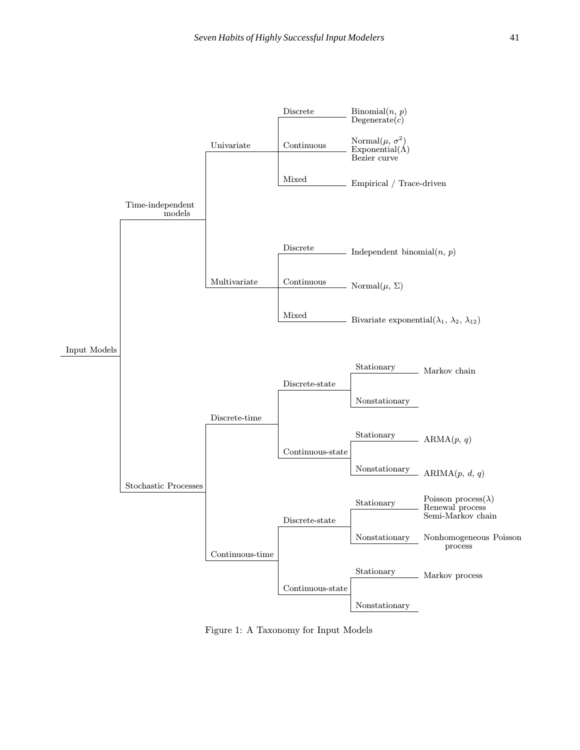

Figure 1: A Taxonomy for Input Models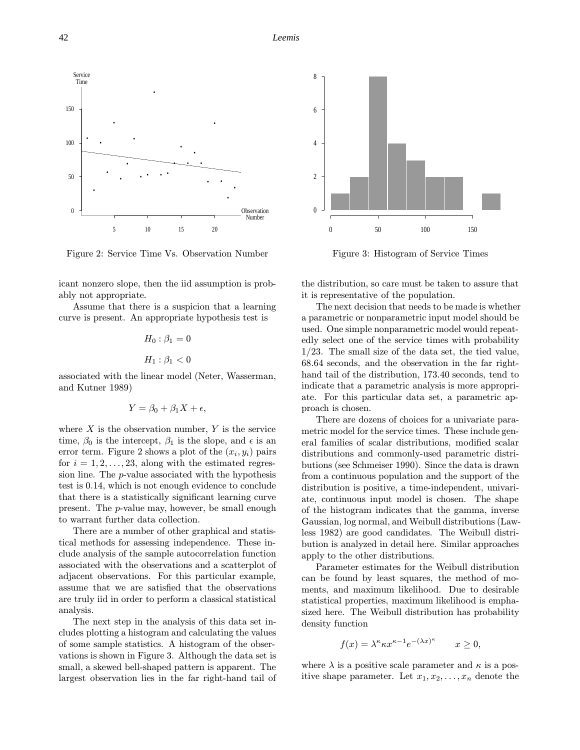

Figure 2: Service Time Vs. Observation Number

icant nonzero slope, then the iid assumption is probably not appropriate.

Assume that there is a suspicion that a learning curve is present. An appropriate hypothesis test is

$$
H_0: \beta_1 = 0
$$

$$
H_1: \beta_1 < 0
$$

associated with the linear model (Neter, Wasserman, and Kutner 1989)

$$
Y = \beta_0 + \beta_1 X + \epsilon,
$$

where  $X$  is the observation number,  $Y$  is the service time,  $\beta_0$  is the intercept,  $\beta_1$  is the slope, and  $\epsilon$  is an error term. Figure 2 shows a plot of the  $(x_i, y_i)$  pairs for  $i = 1, 2, \ldots, 23$ , along with the estimated regression line. The p-value associated with the hypothesis test is 0.14, which is not enough evidence to conclude that there is a statistically significant learning curve present. The p-value may, however, be small enough to warrant further data collection.

There are a number of other graphical and statistical methods for assessing independence. These include analysis of the sample autocorrelation function associated with the observations and a scatterplot of adjacent observations. For this particular example, assume that we are satisfied that the observations are truly iid in order to perform a classical statistical analysis.

The next step in the analysis of this data set includes plotting a histogram and calculating the values of some sample statistics. A histogram of the observations is shown in Figure 3. Although the data set is small, a skewed bell-shaped pattern is apparent. The largest observation lies in the far right-hand tail of



Figure 3: Histogram of Service Times

the distribution, so care must be taken to assure that it is representative of the population.

The next decision that needs to be made is whether a parametric or nonparametric input model should be used. One simple nonparametric model would repeatedly select one of the service times with probability 1/23. The small size of the data set, the tied value, 68.64 seconds, and the observation in the far righthand tail of the distribution, 173.40 seconds, tend to indicate that a parametric analysis is more appropriate. For this particular data set, a parametric approach is chosen.

There are dozens of choices for a univariate parametric model for the service times. These include general families of scalar distributions, modified scalar distributions and commonly-used parametric distributions (see Schmeiser 1990). Since the data is drawn from a continuous population and the support of the distribution is positive, a time-independent, univariate, continuous input model is chosen. The shape of the histogram indicates that the gamma, inverse Gaussian, log normal, and Weibull distributions (Lawless 1982) are good candidates. The Weibull distribution is analyzed in detail here. Similar approaches apply to the other distributions.

Parameter estimates for the Weibull distribution can be found by least squares, the method of moments, and maximum likelihood. Due to desirable statistical properties, maximum likelihood is emphasized here. The Weibull distribution has probability density function

$$
f(x) = \lambda^{\kappa} \kappa x^{\kappa - 1} e^{-(\lambda x)^{\kappa}} \qquad x \ge 0,
$$

where  $\lambda$  is a positive scale parameter and  $\kappa$  is a positive shape parameter. Let  $x_1, x_2, \ldots, x_n$  denote the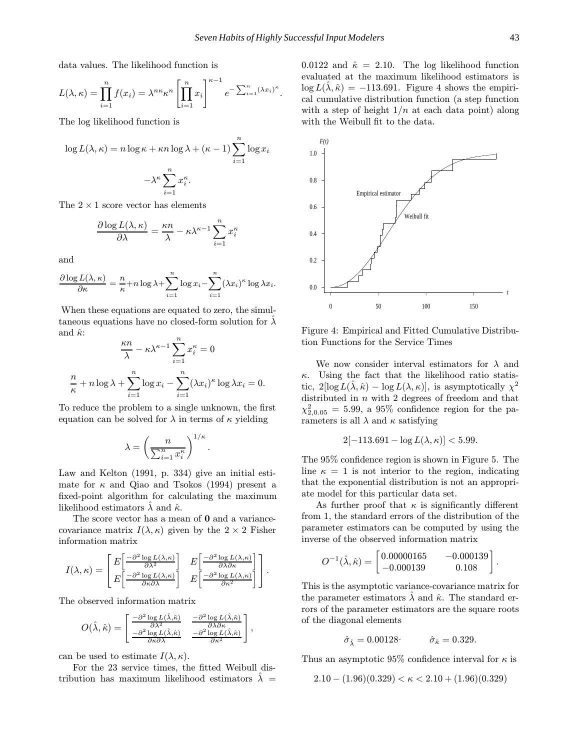data values. The likelihood function is

$$
L(\lambda,\kappa)=\prod_{i=1}^n f(x_i)=\lambda^{n\kappa}\kappa^n\left[\prod_{i=1}^n x_i\right]^{\kappa-1}e^{-\sum_{i=1}^n(\lambda x_i)^{\kappa}}.
$$

The log likelihood function is

$$
\log L(\lambda, \kappa) = n \log \kappa + \kappa n \log \lambda + (\kappa - 1) \sum_{i=1}^{n} \log x_i
$$

$$
-\lambda^{\kappa} \sum_{i=1}^{n} x_i^{\kappa}.
$$

The  $2 \times 1$  score vector has elements

$$
\frac{\partial \log L(\lambda, \kappa)}{\partial \lambda} = \frac{\kappa n}{\lambda} - \kappa \lambda^{\kappa - 1} \sum_{i=1}^{n} x_i^{\kappa}
$$

and

$$
\frac{\partial \log L(\lambda, \kappa)}{\partial \kappa} = \frac{n}{\kappa} + n \log \lambda + \sum_{i=1}^{n} \log x_i - \sum_{i=1}^{n} (\lambda x_i)^{\kappa} \log \lambda x_i.
$$

When these equations are equated to zero, the simultaneous equations have no closed-form solution for  $\lambda$ and  $\hat{\kappa}$ :

$$
\frac{\kappa n}{\lambda} - \kappa \lambda^{\kappa - 1} \sum_{i=1}^{n} x_i^{\kappa} = 0
$$

$$
\frac{n}{\kappa} + n \log \lambda + \sum_{i=1}^{n} \log x_i - \sum_{i=1}^{n} (\lambda x_i)^{\kappa} \log \lambda x_i = 0.
$$

To reduce the problem to a single unknown, the first equation can be solved for  $\lambda$  in terms of  $\kappa$  yielding

$$
\lambda = \left(\frac{n}{\sum_{i=1}^n x_i^{\kappa}}\right)^{1/\kappa}.
$$

Law and Kelton (1991, p. 334) give an initial estimate for  $\kappa$  and Qiao and Tsokos (1994) present a fixed-point algorithm for calculating the maximum likelihood estimators  $\lambda$  and  $\hat{\kappa}$ .

The score vector has a mean of 0 and a variancecovariance matrix  $I(\lambda, \kappa)$  given by the  $2 \times 2$  Fisher information matrix

$$
I(\lambda, \kappa) = \begin{bmatrix} E \left[ \frac{-\partial^2 \log L(\lambda, \kappa)}{\partial \lambda^2} \right] & E \left[ \frac{-\partial^2 \log L(\lambda, \kappa)}{\partial \lambda \partial \kappa} \right] \\ E \left[ \frac{-\partial^2 \log L(\lambda, \kappa)}{\partial \kappa \partial \lambda} \right] & E \left[ \frac{-\partial^2 \log L(\lambda, \kappa)}{\partial \kappa^2} \right] \end{bmatrix}.
$$

The observed information matrix

$$
O(\hat{\lambda}, \hat{\kappa}) = \begin{bmatrix} \frac{-\partial^2 \log L(\hat{\lambda}, \hat{\kappa})}{\partial \lambda^2} & \frac{-\partial^2 \log L(\hat{\lambda}, \hat{\kappa})}{\partial \lambda \partial \kappa} \\ \frac{-\partial^2 \log L(\hat{\lambda}, \hat{\kappa})}{\partial \kappa \partial \lambda} & \frac{-\partial^2 \log L(\hat{\lambda}, \hat{\kappa})}{\partial \kappa^2} \end{bmatrix},
$$

can be used to estimate  $I(\lambda, \kappa)$ .

For the 23 service times, the fitted Weibull distribution has maximum likelihood estimators  $\lambda =$  0.0122 and  $\hat{\kappa} = 2.10$ . The log likelihood function evaluated at the maximum likelihood estimators is  $\log L(\hat{\lambda}, \hat{\kappa}) = -113.691$ . Figure 4 shows the empirical cumulative distribution function (a step function with a step of height  $1/n$  at each data point) along with the Weibull fit to the data.



Figure 4: Empirical and Fitted Cumulative Distribution Functions for the Service Times

We now consider interval estimators for  $\lambda$  and  $\kappa$ . Using the fact that the likelihood ratio statistic,  $2[\log L(\lambda, \hat{\kappa}) - \log L(\lambda, \kappa)]$ , is asymptotically  $\chi^2$ distributed in  $n$  with 2 degrees of freedom and that  $\chi_{2,0.05}^2 = 5.99$ , a 95% confidence region for the parameters is all  $\lambda$  and  $\kappa$  satisfying rameters is all  $\lambda$  and  $\kappa$  satisfying

$$
2[-113.691 - \log L(\lambda, \kappa)] < 5.99.
$$

The 95% confidence region is shown in Figure 5. The line  $\kappa = 1$  is not interior to the region, indicating that the exponential distribution is not an appropriate model for this particular data set.

As further proof that  $\kappa$  is significantly different from 1, the standard errors of the distribution of the parameter estimators can be computed by using the inverse of the observed information matrix

$$
O^{-1}(\hat{\lambda}, \hat{\kappa}) = \begin{bmatrix} 0.00000165 & -0.000139 \\ -0.000139 & 0.108 \end{bmatrix}
$$

.

This is the asymptotic variance-covariance matrix for the parameter estimators  $\lambda$  and  $\hat{\kappa}$ . The standard errors of the parameter estimators are the square roots of the diagonal elements

$$
\hat{\sigma}_{\hat{\lambda}} = 0.00128 \qquad \qquad \hat{\sigma}_{\hat{\kappa}} = 0.329.
$$

Thus an asymptotic 95% confidence interval for  $\kappa$  is

$$
2.10 - (1.96)(0.329) < \kappa < 2.10 + (1.96)(0.329)
$$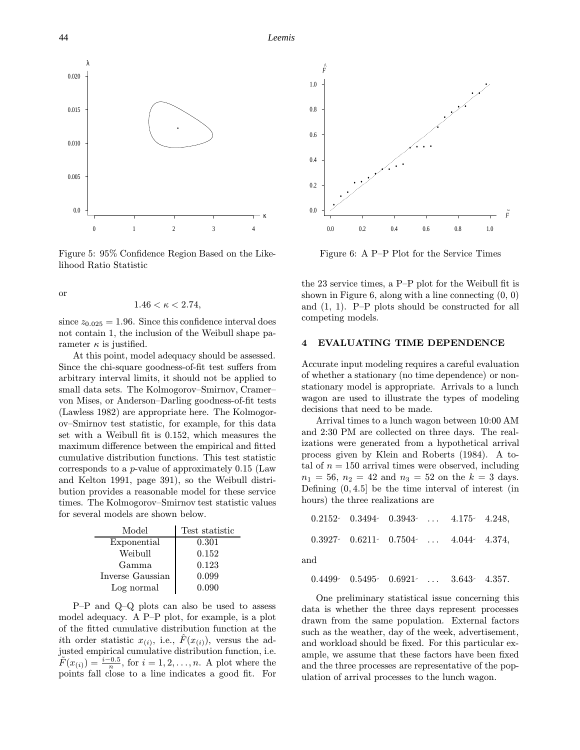44 *Leemis*



Figure 5: 95% Confidence Region Based on the Likelihood Ratio Statistic

or

$$
1.46 < \kappa < 2.74
$$

since  $z_{0.025} = 1.96$ . Since this confidence interval does not contain 1, the inclusion of the Weibull shape parameter  $\kappa$  is justified.

At this point, model adequacy should be assessed. Since the chi-square goodness-of-fit test suffers from arbitrary interval limits, it should not be applied to small data sets. The Kolmogorov–Smirnov, Cramer– von Mises, or Anderson–Darling goodness-of-fit tests (Lawless 1982) are appropriate here. The Kolmogorov–Smirnov test statistic, for example, for this data set with a Weibull fit is 0.152, which measures the maximum difference between the empirical and fitted cumulative distribution functions. This test statistic corresponds to a p-value of approximately 0.15 (Law and Kelton 1991, page 391), so the Weibull distribution provides a reasonable model for these service times. The Kolmogorov–Smirnov test statistic values for several models are shown below.

| Model            | Test statistic |
|------------------|----------------|
| Exponential      | 0.301          |
| Weibull          | 0.152          |
| Gamma            | 0.123          |
| Inverse Gaussian | 0.099          |
| Log normal       | 0.090          |

P–P and Q–Q plots can also be used to assess model adequacy. A P–P plot, for example, is a plot of the fitted cumulative distribution function at the ith order statistic  $x_{(i)}$ , i.e.,  $F(x_{(i)})$ , versus the adjusted empirical cumulative distribution function, i.e.  $\tilde{F}(x_{(i)}) = \frac{i-0.5}{n}$ , for  $i = 1, 2, ..., n$ . A plot where the points fall close to a line indicates a good fit. For



Figure 6: A P–P Plot for the Service Times

the 23 service times, a P–P plot for the Weibull fit is shown in Figure 6, along with a line connecting  $(0, 0)$ and (1, 1). P–P plots should be constructed for all competing models.

### 4 EVALUATING TIME DEPENDENCE

Accurate input modeling requires a careful evaluation of whether a stationary (no time dependence) or nonstationary model is appropriate. Arrivals to a lunch wagon are used to illustrate the types of modeling decisions that need to be made.

Arrival times to a lunch wagon between 10:00 AM and 2:30 PM are collected on three days. The realizations were generated from a hypothetical arrival process given by Klein and Roberts (1984). A total of  $n = 150$  arrival times were observed, including  $n_1 = 56$ ,  $n_2 = 42$  and  $n_3 = 52$  on the  $k = 3$  days. Defining (0, 4.5] be the time interval of interest (in hours) the three realizations are

| $0.2152$ $0.3494$ $0.3943$ $\ldots$ $4.175$ $4.248$ , |  |  |
|-------------------------------------------------------|--|--|
| $0.3927 - 0.6211 - 0.7504 - \ldots$ 4.044 4.374,      |  |  |

and

 $0.4499 \cdot 0.5495 \cdot 0.6921 \cdot \ldots \cdot 3.643 \cdot 4.357.$ 

One preliminary statistical issue concerning this data is whether the three days represent processes drawn from the same population. External factors such as the weather, day of the week, advertisement, and workload should be fixed. For this particular example, we assume that these factors have been fixed and the three processes are representative of the population of arrival processes to the lunch wagon.

0.020

λ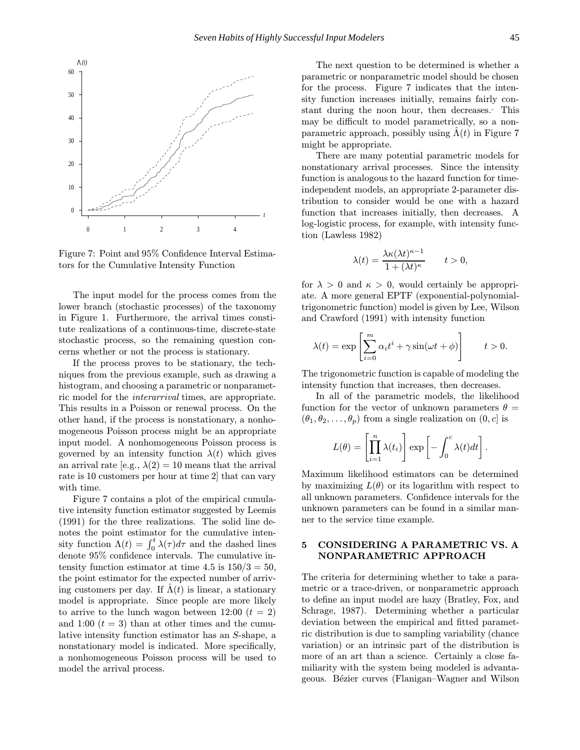

Figure 7: Point and 95% Confidence Interval Estimators for the Cumulative Intensity Function

The input model for the process comes from the lower branch (stochastic processes) of the taxonomy in Figure 1. Furthermore, the arrival times constitute realizations of a continuous-time, discrete-state stochastic process, so the remaining question concerns whether or not the process is stationary.

If the process proves to be stationary, the techniques from the previous example, such as drawing a histogram, and choosing a parametric or nonparametric model for the interarrival times, are appropriate. This results in a Poisson or renewal process. On the other hand, if the process is nonstationary, a nonhomogeneous Poisson process might be an appropriate input model. A nonhomogeneous Poisson process is governed by an intensity function  $\lambda(t)$  which gives an arrival rate [e.g.,  $\lambda(2) = 10$  means that the arrival rate is 10 customers per hour at time 2] that can vary with time.

Figure 7 contains a plot of the empirical cumulative intensity function estimator suggested by Leemis (1991) for the three realizations. The solid line denotes the point estimator for the cumulative intensity function  $\Lambda(t) = \int_0^t \lambda(\tau) d\tau$  and the dashed lines<br>denote 95% confidence intervals. The cumulative indenote 95% confidence intervals. The cumulative intensity function estimator at time  $4.5$  is  $150/3 = 50$ , the point estimator for the expected number of arriving customers per day. If  $\Lambda(t)$  is linear, a stationary model is appropriate. Since people are more likely to arrive to the lunch wagon between 12:00  $(t = 2)$ and 1:00  $(t = 3)$  than at other times and the cumulative intensity function estimator has an S-shape, a nonstationary model is indicated. More specifically, a nonhomogeneous Poisson process will be used to model the arrival process.

The next question to be determined is whether a parametric or nonparametric model should be chosen for the process. Figure 7 indicates that the intensity function increases initially, remains fairly constant during the noon hour, then decreases. This may be difficult to model parametrically, so a nonparametric approach, possibly using  $\Lambda(t)$  in Figure 7 might be appropriate.

There are many potential parametric models for nonstationary arrival processes. Since the intensity function is analogous to the hazard function for timeindependent models, an appropriate 2-parameter distribution to consider would be one with a hazard function that increases initially, then decreases. A log-logistic process, for example, with intensity function (Lawless 1982)

$$
\lambda(t) = \frac{\lambda \kappa(\lambda t)^{\kappa - 1}}{1 + (\lambda t)^{\kappa}} \qquad t > 0,
$$

for  $\lambda > 0$  and  $\kappa > 0$ , would certainly be appropriate. A more general EPTF (exponential-polynomialtrigonometric function) model is given by Lee, Wilson and Crawford (1991) with intensity function

$$
\lambda(t) = \exp\left[\sum_{i=0}^{m} \alpha_i t^i + \gamma \sin(\omega t + \phi)\right] \qquad t > 0.
$$

The trigonometric function is capable of modeling the intensity function that increases, then decreases.

In all of the parametric models, the likelihood function for the vector of unknown parameters  $\theta =$  $(\theta_1, \theta_2, \ldots, \theta_p)$  from a single realization on  $(0, c]$  is

$$
L(\theta) = \left[\prod_{i=1}^{n} \lambda(t_i)\right] \exp\left[-\int_0^c \lambda(t)dt\right].
$$

Maximum likelihood estimators can be determined by maximizing  $L(\theta)$  or its logarithm with respect to all unknown parameters. Confidence intervals for the unknown parameters can be found in a similar manner to the service time example.

### 5 CONSIDERING A PARAMETRIC VS. A NONPARAMETRIC APPROACH

The criteria for determining whether to take a parametric or a trace-driven, or nonparametric approach to define an input model are hazy (Bratley, Fox, and Schrage, 1987). Determining whether a particular deviation between the empirical and fitted parametric distribution is due to sampling variability (chance variation) or an intrinsic part of the distribution is more of an art than a science. Certainly a close familiarity with the system being modeled is advantageous. B´ezier curves (Flanigan–Wagner and Wilson